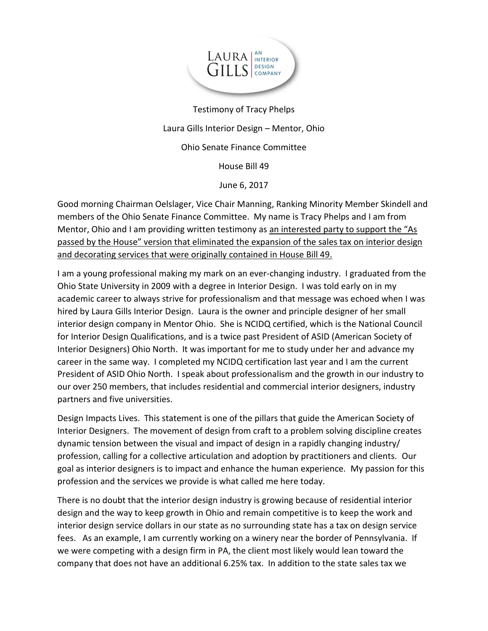

Testimony of Tracy Phelps Laura Gills Interior Design – Mentor, Ohio Ohio Senate Finance Committee House Bill 49 June 6, 2017

Good morning Chairman Oelslager, Vice Chair Manning, Ranking Minority Member Skindell and members of the Ohio Senate Finance Committee. My name is Tracy Phelps and I am from Mentor, Ohio and I am providing written testimony as an interested party to support the "As passed by the House" version that eliminated the expansion of the sales tax on interior design and decorating services that were originally contained in House Bill 49.

I am a young professional making my mark on an ever-changing industry. I graduated from the Ohio State University in 2009 with a degree in Interior Design. I was told early on in my academic career to always strive for professionalism and that message was echoed when I was hired by Laura Gills Interior Design. Laura is the owner and principle designer of her small interior design company in Mentor Ohio. She is NCIDQ certified, which is the National Council for Interior Design Qualifications, and is a twice past President of ASID (American Society of Interior Designers) Ohio North. It was important for me to study under her and advance my career in the same way. I completed my NCIDQ certification last year and I am the current President of ASID Ohio North. I speak about professionalism and the growth in our industry to our over 250 members, that includes residential and commercial interior designers, industry partners and five universities.

Design Impacts Lives. This statement is one of the pillars that guide the American Society of Interior Designers. The movement of design from craft to a problem solving discipline creates dynamic tension between the visual and impact of design in a rapidly changing industry/ profession, calling for a collective articulation and adoption by practitioners and clients. Our goal as interior designers is to impact and enhance the human experience. My passion for this profession and the services we provide is what called me here today.

There is no doubt that the interior design industry is growing because of residential interior design and the way to keep growth in Ohio and remain competitive is to keep the work and interior design service dollars in our state as no surrounding state has a tax on design service fees. As an example, I am currently working on a winery near the border of Pennsylvania. If we were competing with a design firm in PA, the client most likely would lean toward the company that does not have an additional 6.25% tax. In addition to the state sales tax we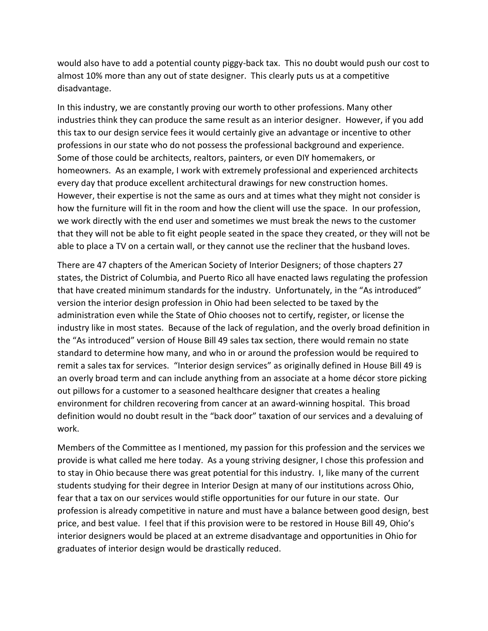would also have to add a potential county piggy-back tax. This no doubt would push our cost to almost 10% more than any out of state designer. This clearly puts us at a competitive disadvantage.

In this industry, we are constantly proving our worth to other professions. Many other industries think they can produce the same result as an interior designer. However, if you add this tax to our design service fees it would certainly give an advantage or incentive to other professions in our state who do not possess the professional background and experience. Some of those could be architects, realtors, painters, or even DIY homemakers, or homeowners. As an example, I work with extremely professional and experienced architects every day that produce excellent architectural drawings for new construction homes. However, their expertise is not the same as ours and at times what they might not consider is how the furniture will fit in the room and how the client will use the space. In our profession, we work directly with the end user and sometimes we must break the news to the customer that they will not be able to fit eight people seated in the space they created, or they will not be able to place a TV on a certain wall, or they cannot use the recliner that the husband loves.

There are 47 chapters of the American Society of Interior Designers; of those chapters 27 states, the District of Columbia, and Puerto Rico all have enacted laws regulating the profession that have created minimum standards for the industry. Unfortunately, in the "As introduced" version the interior design profession in Ohio had been selected to be taxed by the administration even while the State of Ohio chooses not to certify, register, or license the industry like in most states. Because of the lack of regulation, and the overly broad definition in the "As introduced" version of House Bill 49 sales tax section, there would remain no state standard to determine how many, and who in or around the profession would be required to remit a sales tax for services. "Interior design services" as originally defined in House Bill 49 is an overly broad term and can include anything from an associate at a home décor store picking out pillows for a customer to a seasoned healthcare designer that creates a healing environment for children recovering from cancer at an award-winning hospital. This broad definition would no doubt result in the "back door" taxation of our services and a devaluing of work.

Members of the Committee as I mentioned, my passion for this profession and the services we provide is what called me here today. As a young striving designer, I chose this profession and to stay in Ohio because there was great potential for this industry. I, like many of the current students studying for their degree in Interior Design at many of our institutions across Ohio, fear that a tax on our services would stifle opportunities for our future in our state. Our profession is already competitive in nature and must have a balance between good design, best price, and best value. I feel that if this provision were to be restored in House Bill 49, Ohio's interior designers would be placed at an extreme disadvantage and opportunities in Ohio for graduates of interior design would be drastically reduced.